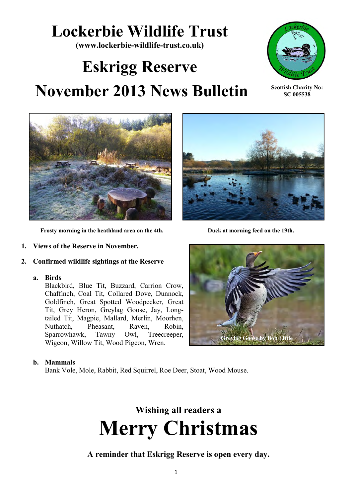# **Lockerbie Wildlife Trust**

**(www.lockerbie-wildlife-trust.co.uk)** 

# **Eskrigg Reserve November 2013 News Bulletin**



**Scottish Charity No: SC 005538**



 **Frosty morning in the heathland area on the 4th. Duck at morning feed on the 19th.**

- **1. Views of the Reserve in November.**
- **2. Confirmed wildlife sightings at the Reserve**
	- **a. Birds**

Blackbird, Blue Tit, Buzzard, Carrion Crow, Chaffinch, Coal Tit, Collared Dove, Dunnock, Goldfinch, Great Spotted Woodpecker, Great Tit, Grey Heron, Greylag Goose, Jay, Longtailed Tit, Magpie, Mallard, Merlin, Moorhen, Nuthatch, Pheasant, Raven, Robin, Sparrowhawk, Tawny Owl, Treecreeper, Wigeon, Willow Tit, Wood Pigeon, Wren.





#### **b. Mammals**

Bank Vole, Mole, Rabbit, Red Squirrel, Roe Deer, Stoat, Wood Mouse.



**A reminder that Eskrigg Reserve is open every day.**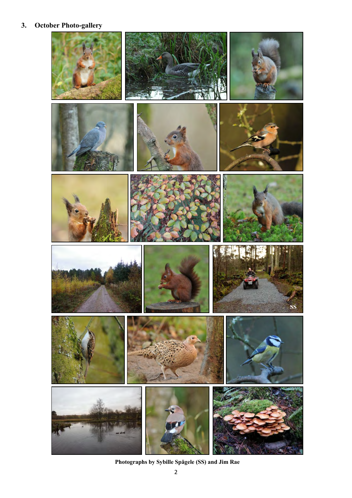# **3. October Photo-gallery**



**Photographs by Sybille Spägele (SS) and Jim Rae**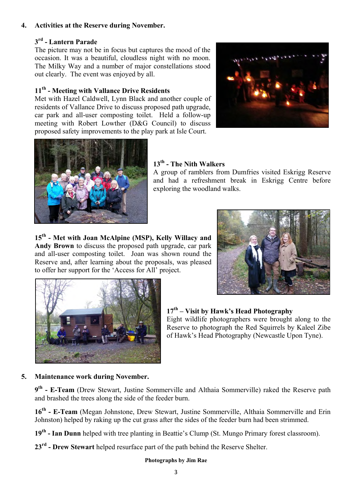### **4. Activities at the Reserve during November.**

## **3 rd - Lantern Parade**

The picture may not be in focus but captures the mood of the occasion. It was a beautiful, cloudless night with no moon. The Milky Way and a number of major constellations stood out clearly. The event was enjoyed by all.

## **11th - Meeting with Vallance Drive Residents**

Met with Hazel Caldwell, Lynn Black and another couple of residents of Vallance Drive to discuss proposed path upgrade, car park and all-user composting toilet. Held a follow-up meeting with Robert Lowther (D&G Council) to discuss proposed safety improvements to the play park at Isle Court.





# **13th - The Nith Walkers**

A group of ramblers from Dumfries visited Eskrigg Reserve and had a refreshment break in Eskrigg Centre before exploring the woodland walks.

**15th - Met with Joan McAlpine (MSP), Kelly Willacy and Andy Brown** to discuss the proposed path upgrade, car park and all-user composting toilet. Joan was shown round the Reserve and, after learning about the proposals, was pleased to offer her support for the 'Access for All' project.





**17th – Visit by Hawk's Head Photography** Eight wildlife photographers were brought along to the Reserve to photograph the Red Squirrels by Kaleel Zibe of Hawk's Head Photography (Newcastle Upon Tyne).

#### **5. Maintenance work during November.**

**9 th - E-Team** (Drew Stewart, Justine Sommerville and Althaia Sommerville) raked the Reserve path and brashed the trees along the side of the feeder burn.

**16th - E-Team** (Megan Johnstone, Drew Stewart, Justine Sommerville, Althaia Sommerville and Erin Johnston) helped by raking up the cut grass after the sides of the feeder burn had been strimmed.

**19th - Ian Dunn** helped with tree planting in Beattie's Clump (St. Mungo Primary forest classroom).

**23rd - Drew Stewart** helped resurface part of the path behind the Reserve Shelter.

#### **Photographs by Jim Rae**